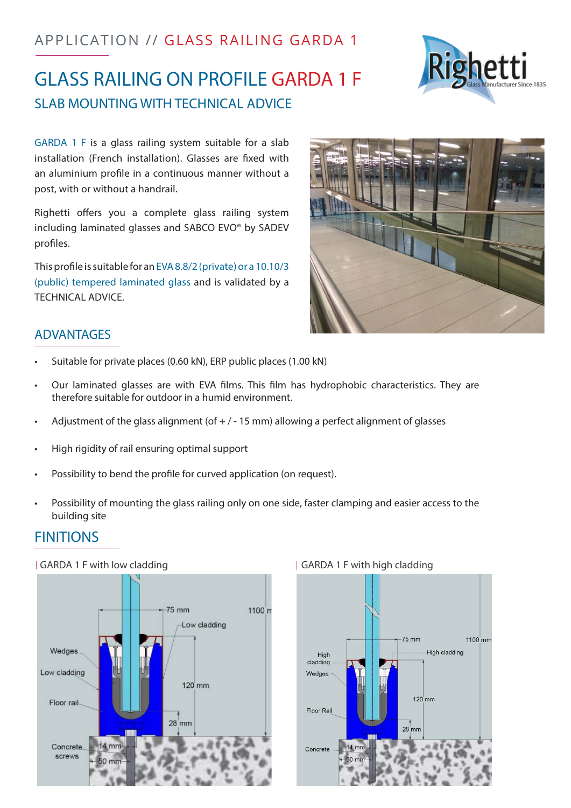# APPLICATION // GLASS RAILING GARDA 1

# GLASS RAILING ON PROFILE GARDA 1 F SLAB MOUNTING WITH TECHNICAL ADVICE

GARDA 1 F is a glass railing system suitable for a slab installation (French installation). Glasses are fixed with an aluminium profile in a continuous manner without a post, with or without a handrail.

Righetti offers you a complete glass railing system including laminated glasses and SABCO EVO® by SADEV profiles.

This profile is suitable for an EVA 8.8/2 (private) or a 10.10/3 (public) tempered laminated glass and is validated by a TECHNICAL ADVICE.

# ADVANTAGES

- Suitable for private places (0.60 kN), ERP public places (1.00 kN)
- Our laminated glasses are with EVA films. This film has hydrophobic characteristics. They are therefore suitable for outdoor in a humid environment.
- Adjustment of the glass alignment (of  $+/-15$  mm) allowing a perfect alignment of glasses
- High rigidity of rail ensuring optimal support
- Possibility to bend the profile for curved application (on request).
- Possibility of mounting the glass railing only on one side, faster clamping and easier access to the building site

### **FINITIONS**

#### GARDA 1 F with low cladding and the state of GARDA 1 F with high cladding